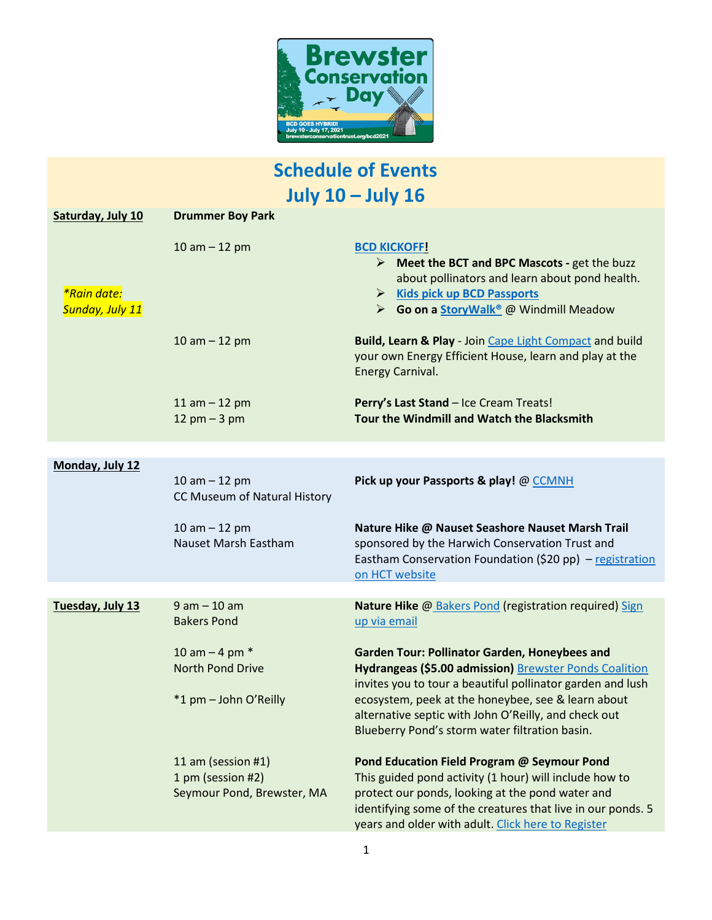

# **Schedule of Events July 10 – July 16**

| Saturday, July 10              | <b>Drummer Boy Park</b>                         |                                                                                                                                                                                                                                       |
|--------------------------------|-------------------------------------------------|---------------------------------------------------------------------------------------------------------------------------------------------------------------------------------------------------------------------------------------|
| *Rain date:<br>Sunday, July 11 | $10 am - 12 pm$                                 | <b>BCD KICKOFF!</b><br>$\triangleright$ Meet the BCT and BPC Mascots - get the buzz<br>about pollinators and learn about pond health.<br><b>Kids pick up BCD Passports</b><br>➤<br>► Go on a StoryWalk <sup>®</sup> @ Windmill Meadow |
|                                | 10 am $-$ 12 pm                                 | Build, Learn & Play - Join Cape Light Compact and build<br>your own Energy Efficient House, learn and play at the<br>Energy Carnival.                                                                                                 |
|                                | 11 am $-$ 12 pm                                 | Perry's Last Stand - Ice Cream Treats!                                                                                                                                                                                                |
|                                | $12$ pm $-3$ pm                                 | Tour the Windmill and Watch the Blacksmith                                                                                                                                                                                            |
|                                |                                                 |                                                                                                                                                                                                                                       |
| Monday, July 12                | 10 am $-$ 12 pm<br>CC Museum of Natural History | Pick up your Passports & play! @ CCMNH                                                                                                                                                                                                |
|                                | 10 am $-$ 12 pm<br>Nauset Marsh Eastham         | Nature Hike @ Nauset Seashore Nauset Marsh Trail<br>sponsored by the Harwich Conservation Trust and<br>Eastham Conservation Foundation (\$20 pp) - registration<br>on HCT website                                                     |
|                                |                                                 |                                                                                                                                                                                                                                       |
| Tuesday, July 13               | $9 am - 10 am$<br><b>Bakers Pond</b>            | Nature Hike @ Bakers Pond (registration required) Sign<br>up via email                                                                                                                                                                |
|                                | 10 am $-$ 4 pm $*$<br><b>North Pond Drive</b>   | Garden Tour: Pollinator Garden, Honeybees and<br>Hydrangeas (\$5.00 admission) Brewster Ponds Coalition<br>invites you to tour a beautiful pollinator garden and lush                                                                 |
|                                | *1 pm - John O'Reilly                           | ecosystem, peek at the honeybee, see & learn about<br>alternative septic with John O'Reilly, and check out<br>Blueberry Pond's storm water filtration basin.                                                                          |
|                                | 11 am (session #1)                              | Pond Education Field Program @ Seymour Pond                                                                                                                                                                                           |
|                                | 1 pm (session #2)                               | This guided pond activity (1 hour) will include how to                                                                                                                                                                                |
|                                | Seymour Pond, Brewster, MA                      | protect our ponds, looking at the pond water and<br>identifying some of the creatures that live in our ponds. 5<br>years and older with adult. Click here to Register                                                                 |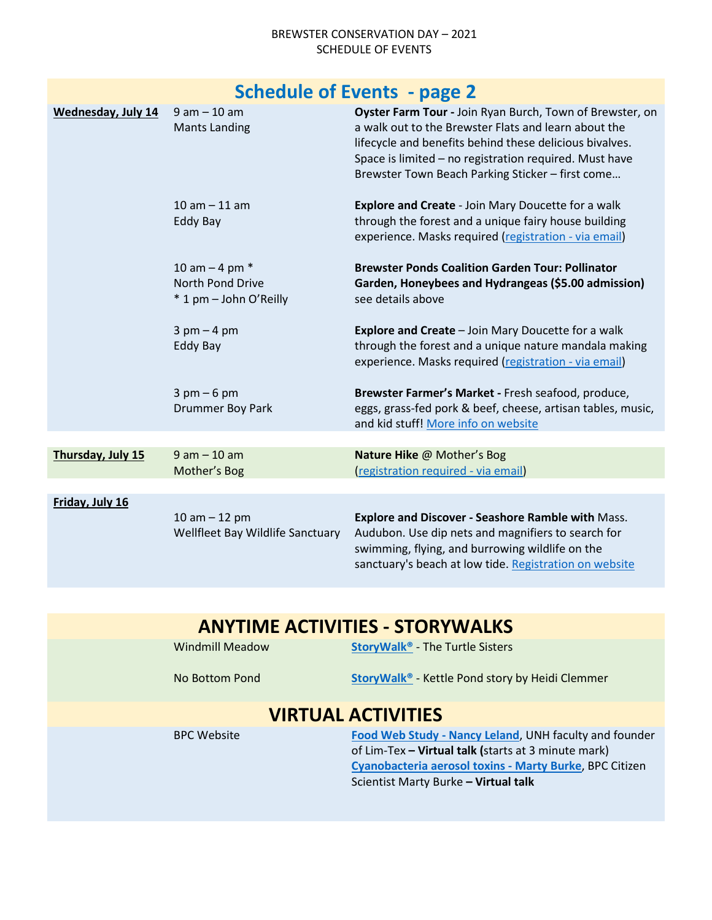#### BREWSTER CONSERVATION DAY – 2021 SCHEDULE OF EVENTS

| <b>Schedule of Events - page 2</b> |                                                                         |                                                                                                                                                                                                                                                                                           |  |
|------------------------------------|-------------------------------------------------------------------------|-------------------------------------------------------------------------------------------------------------------------------------------------------------------------------------------------------------------------------------------------------------------------------------------|--|
| Wednesday, July 14                 | $9$ am $-10$ am<br><b>Mants Landing</b>                                 | Oyster Farm Tour - Join Ryan Burch, Town of Brewster, on<br>a walk out to the Brewster Flats and learn about the<br>lifecycle and benefits behind these delicious bivalves.<br>Space is limited - no registration required. Must have<br>Brewster Town Beach Parking Sticker - first come |  |
|                                    | $10 am - 11 am$<br>Eddy Bay                                             | <b>Explore and Create - Join Mary Doucette for a walk</b><br>through the forest and a unique fairy house building<br>experience. Masks required (registration - via email)                                                                                                                |  |
|                                    | 10 am $-$ 4 pm $*$<br><b>North Pond Drive</b><br>* 1 pm - John O'Reilly | <b>Brewster Ponds Coalition Garden Tour: Pollinator</b><br>Garden, Honeybees and Hydrangeas (\$5.00 admission)<br>see details above                                                                                                                                                       |  |
|                                    | $3$ pm $-4$ pm<br>Eddy Bay                                              | Explore and Create - Join Mary Doucette for a walk<br>through the forest and a unique nature mandala making<br>experience. Masks required (registration - via email)                                                                                                                      |  |
|                                    | $3$ pm $-6$ pm<br>Drummer Boy Park                                      | Brewster Farmer's Market - Fresh seafood, produce,<br>eggs, grass-fed pork & beef, cheese, artisan tables, music,<br>and kid stuff! More info on website                                                                                                                                  |  |
|                                    |                                                                         |                                                                                                                                                                                                                                                                                           |  |
| Thursday, July 15                  | $9 am - 10 am$<br>Mother's Bog                                          | Nature Hike @ Mother's Bog<br>(registration required - via email)                                                                                                                                                                                                                         |  |
|                                    |                                                                         |                                                                                                                                                                                                                                                                                           |  |
| Friday, July 16                    | 10 am $-$ 12 pm<br>Wellfleet Bay Wildlife Sanctuary                     | Explore and Discover - Seashore Ramble with Mass.<br>Audubon. Use dip nets and magnifiers to search for<br>swimming, flying, and burrowing wildlife on the<br>sanctuary's beach at low tide. Registration on website                                                                      |  |

### **ANYTIME ACTIVITIES - STORYWALKS**

Windmill Meadow **[StoryWalk®](https://brewsterconservationtrust.org/category/events/story-walk/)** - The Turtle Sisters

No Bottom Pond **[StoryWalk®](https://brewsterconservationtrust.org/category/events/story-walk/)** - Kettle Pond story by Heidi Clemmer

## **VIRTUAL ACTIVITIES**

BPC Website **[Food Web Study -](https://www.youtube.com/watch?v=rLCQydZZkCk&t=205s) Nancy Leland**, UNH faculty and founder of Lim-Tex **– Virtual talk (**starts at 3 minute mark) **[Cyanobacteria aerosol toxins -](https://player.vimeo.com/video/492677548) Marty Burke**, BPC Citizen Scientist Marty Burke **– Virtual talk**